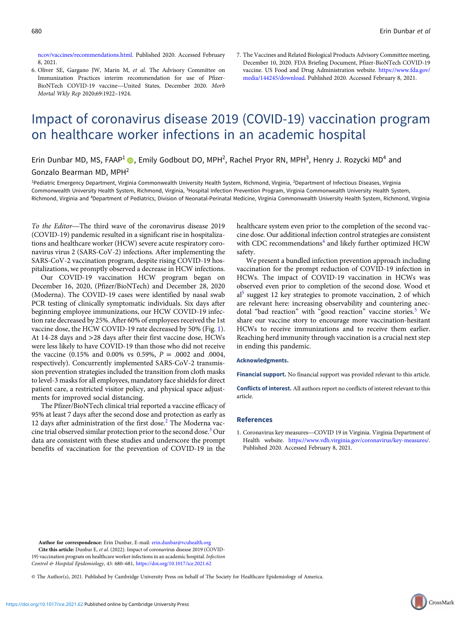[ncov/vaccines/recommendations.html.](https://www.cdc.gov/coronavirus/2019-ncov/vaccines/recommendations.html) Published 2020. Accessed February 8, 2021.

- 6. Oliver SE, Gargano JW, Marin M, et al. The Advisory Committee on Immunization Practices interim recommendation for use of Pfizer-8, 2021.<br>Oliver SE, Gargano JW, Marin M, *et al.* The Advisory Committee on<br>Immunization Practices interim recommendation for use of Pfizer-<br>BioNTech COVID-19 vaccine—United States, December 2020. *Morb* Mortal Wkly Rep 2020;69:1922–1924.
- 7. The Vaccines and Related Biological Products Advisory Committee meeting, December 10, 2020. FDA Briefing Document, Pfizer-BioNTech COVID-19 vaccine. US Food and Drug Administration website. [https://www.fda.gov/](https://www.fda.gov/media/144245/download) [media/144245/download.](https://www.fda.gov/media/144245/download) Published 2020. Accessed February 8, 2021.

# Impact of coronavirus disease 2019 (COVID-19) vaccination program on healthcare worker infections in an academic hospital

Erin Dunbar MD, MS, FAAP<sup>1</sup> (D), Emily Godbout DO, MPH<sup>2</sup>, Rachel Pryor RN, MPH<sup>3</sup>, Henry J. Rozycki MD<sup>4</sup> and

### Gonzalo Bearman MD, MPH2

<sup>1</sup>Pediatric Emergency Department, Virginia Commonwealth University Health System, Richmond, Virginia, <sup>2</sup>Department of Infectious Diseases, Virginia Commonwealth University Health System, Richmond, Virginia, <sup>3</sup>Hospital Infection Prevention Program, Virginia Commonwealth University Health System, Richmond, Virginia and <sup>4</sup>Department of Pediatrics, Division of Neonatal-Perinatal Medicine, Virginia Commonwealth University Health System, Richmond, Virginia<br>To the Editor—The third wave of the coronavirus disease 2019 h

(COVID-19) pandemic resulted in a significant rise in hospitalizations and healthcare worker (HCW) severe acute respiratory coronavirus virus 2 (SARS-CoV-2) infections. After implementing the SARS-CoV-2 vaccination program, despite rising COVID-19 hospitalizations, we promptly observed a decrease in HCW infections.

Our COVID-19 vaccination HCW program began on December 16, 2020, (Pfizer/BioNTech) and December 28, 2020 (Moderna). The COVID-19 cases were identified by nasal swab PCR testing of clinically symptomatic individuals. Six days after beginning employee immunizations, our HCW COVID-19 infection rate decreased by 25%. After 60% of employees received the 1st vaccine dose, the HCW COVID-19 rate decreased by 50% (Fig. [1](#page-1-0)). At 14-28 days and >28 days after their first vaccine dose, HCWs were less likely to have COVID-19 than those who did not receive the vaccine (0.15% and 0.00% vs 0.59%,  $P = .0002$  and .0004, respectively). Concurrently implemented SARS-CoV-2 transmission prevention strategies included the transition from cloth masks to level-3 masks for all employees, mandatory face shields for direct patient care, a restricted visitor policy, and physical space adjustments for improved social distancing.

The Pfizer/BioNTech clinical trial reported a vaccine efficacy of 95% at least 7 days after the second dose and protection as early as 12 days after administration of the first dose.<sup>2</sup> The Moderna vaccine trial observed similar protection prior to the second dose.3 Our data are consistent with these studies and underscore the prompt benefits of vaccination for the prevention of COVID-19 in the

healthcare system even prior to the completion of the second vaccine dose. Our additional infection control strategies are consistent with CDC recommendations<sup>4</sup> and likely further optimized HCW safety.

We present a bundled infection prevention approach including vaccination for the prompt reduction of COVID-19 infection in HCWs. The impact of COVID-19 vaccination in HCWs was observed even prior to completion of the second dose. Wood et al5 suggest 12 key strategies to promote vaccination, 2 of which are relevant here: increasing observability and countering anecdotal "bad reaction" with "good reaction" vaccine stories.<sup>5</sup> We share our vaccine story to encourage more vaccination-hesitant HCWs to receive immunizations and to receive them earlier. Reaching herd immunity through vaccination is a crucial next step in ending this pandemic.

### Acknowledgments.

Financial support. No financial support was provided relevant to this article.

Conflicts of interest. All authors report no conflicts of interest relevant to this article.

#### References

1. Coronavirus key measures—COVID 19 in Virginia. Virginia Department of Health website. [https://www.vdh.virginia.gov/coronavirus/key-measures/.](https://www.vdh.virginia.gov/coronavirus/key-measures/) Published 2020. Accessed February 8, 2021.

Cite this article: Dunbar E, et al. (2022). Impact of coronavirus disease 2019 (COVID-19) vaccination program on healthcare worker infections in an academic hospital. Infection Control & Hospital Epidemiology, 43: 680-681, <https://doi.org/10.1017/ice.2021.62>

© The Author(s), 2021. Published by Cambridge University Press on behalf of The Society for Healthcare Epidemiology of America.

Author for correspondence: Erin Dunbar, E-mail: [erin.dunbar@vcuhealth.org](mailto:erin.dunbar@vcuhealth.org)